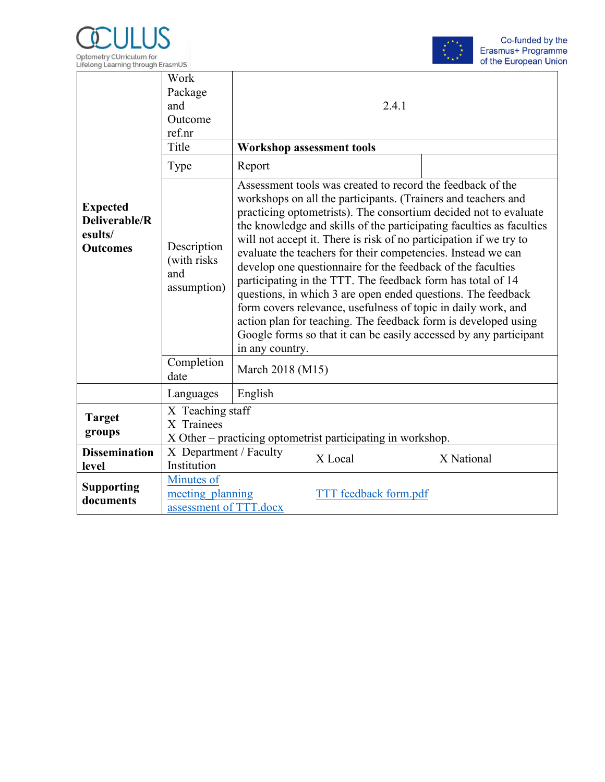



|                                                                | Work<br>Package<br>and<br>Outcome<br>ref.nr<br>Title<br>Type | 2.4.1<br><b>Workshop assessment tools</b><br>Report                                                                                                                                                                                                                                                                                                                                                                                                                                                                                                                                                                                                                                                                                                                                                                                    |  |  |  |
|----------------------------------------------------------------|--------------------------------------------------------------|----------------------------------------------------------------------------------------------------------------------------------------------------------------------------------------------------------------------------------------------------------------------------------------------------------------------------------------------------------------------------------------------------------------------------------------------------------------------------------------------------------------------------------------------------------------------------------------------------------------------------------------------------------------------------------------------------------------------------------------------------------------------------------------------------------------------------------------|--|--|--|
| <b>Expected</b><br>Deliverable/R<br>esults/<br><b>Outcomes</b> | Description<br>(with risks)<br>and<br>assumption)            | Assessment tools was created to record the feedback of the<br>workshops on all the participants. (Trainers and teachers and<br>practicing optometrists). The consortium decided not to evaluate<br>the knowledge and skills of the participating faculties as faculties<br>will not accept it. There is risk of no participation if we try to<br>evaluate the teachers for their competencies. Instead we can<br>develop one questionnaire for the feedback of the faculties<br>participating in the TTT. The feedback form has total of 14<br>questions, in which 3 are open ended questions. The feedback<br>form covers relevance, usefulness of topic in daily work, and<br>action plan for teaching. The feedback form is developed using<br>Google forms so that it can be easily accessed by any participant<br>in any country. |  |  |  |
|                                                                | Completion<br>date                                           | March 2018 (M15)                                                                                                                                                                                                                                                                                                                                                                                                                                                                                                                                                                                                                                                                                                                                                                                                                       |  |  |  |
|                                                                | Languages                                                    | English                                                                                                                                                                                                                                                                                                                                                                                                                                                                                                                                                                                                                                                                                                                                                                                                                                |  |  |  |
| <b>Target</b><br>groups                                        | X Teaching staff<br>X Trainees                               | X Other – practicing optometrist participating in workshop.                                                                                                                                                                                                                                                                                                                                                                                                                                                                                                                                                                                                                                                                                                                                                                            |  |  |  |
| <b>Dissemination</b><br>level                                  | X Department / Faculty<br>Institution                        | X Local<br>X National                                                                                                                                                                                                                                                                                                                                                                                                                                                                                                                                                                                                                                                                                                                                                                                                                  |  |  |  |
| <b>Supporting</b><br>documents                                 | Minutes of<br>meeting planning<br>assessment of TTT.docx     | TTT feedback form.pdf                                                                                                                                                                                                                                                                                                                                                                                                                                                                                                                                                                                                                                                                                                                                                                                                                  |  |  |  |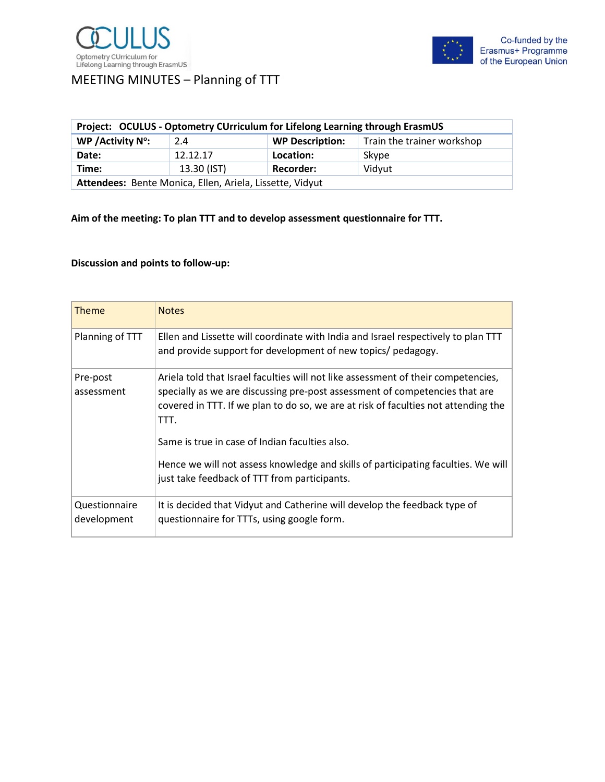### MEETING MINUTES – Planning of TTT

| Project: OCULUS - Optometry CUrriculum for Lifelong Learning through ErasmUS |             |                        |                            |  |  |
|------------------------------------------------------------------------------|-------------|------------------------|----------------------------|--|--|
| WP / Activity $N^{\circ}$ :                                                  | 2.4         | <b>WP Description:</b> | Train the trainer workshop |  |  |
| Date:                                                                        | 12.12.17    | Location:              | Skype                      |  |  |
| Time:                                                                        | 13.30 (IST) | <b>Recorder:</b>       | Vidyut                     |  |  |
| Attendees: Bente Monica, Ellen, Ariela, Lissette, Vidyut                     |             |                        |                            |  |  |

**Aim of the meeting: To plan TTT and to develop assessment questionnaire for TTT.**

### **Discussion and points to follow-up:**

| <b>Theme</b>                 | <b>Notes</b>                                                                                                                                                                                                                                                                                                                                                                                                                                          |
|------------------------------|-------------------------------------------------------------------------------------------------------------------------------------------------------------------------------------------------------------------------------------------------------------------------------------------------------------------------------------------------------------------------------------------------------------------------------------------------------|
| Planning of TTT              | Ellen and Lissette will coordinate with India and Israel respectively to plan TTT<br>and provide support for development of new topics/ pedagogy.                                                                                                                                                                                                                                                                                                     |
| Pre-post<br>assessment       | Ariela told that Israel faculties will not like assessment of their competencies,<br>specially as we are discussing pre-post assessment of competencies that are<br>covered in TTT. If we plan to do so, we are at risk of faculties not attending the<br>TTT.<br>Same is true in case of Indian faculties also.<br>Hence we will not assess knowledge and skills of participating faculties. We will<br>just take feedback of TTT from participants. |
| Questionnaire<br>development | It is decided that Vidyut and Catherine will develop the feedback type of<br>questionnaire for TTTs, using google form.                                                                                                                                                                                                                                                                                                                               |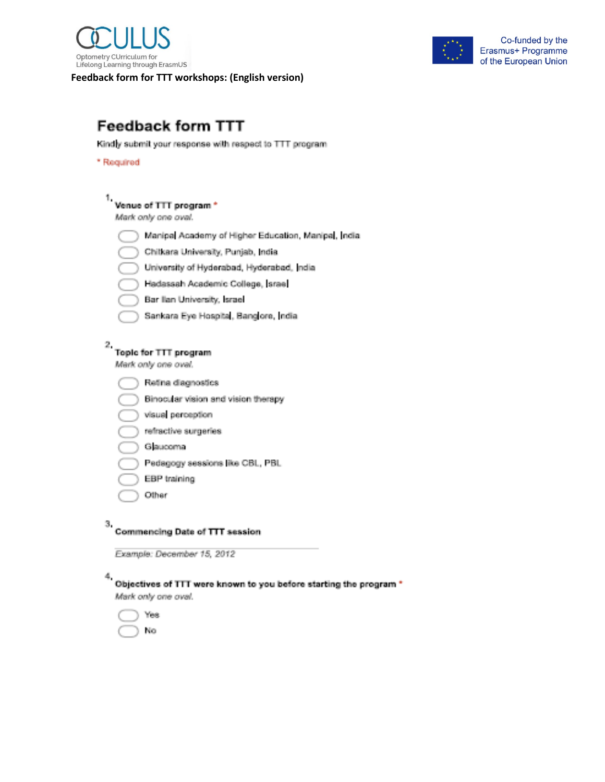

Feedback form for TTT workshops: (English version)



## **Feedback form TTT**

Kindly submit your response with respect to TTT program

\* Reguired

# <sup>1</sup> Venue of TTT program \*

Mark only one oval.

- Manipal Academy of Higher Education, Manipal, India.
- Chilkara University, Punjab, India
- University of Hyderabad, Hyderabad, India
- Hadassah Academic College, Israel
- Bar Ilan University, Israel
- Sankara Eye Hospita, Banglore, India

# $^2\,$  Topic for TTT program

Mark only one oval.

- Retina diagnostics
- Binocular vision and vision therapy
- visual perception
- refractive surgeries
- Glaucoma
- Pedagogy sessions like CBL, PBL
- EBP training
- Other

#### з, **Commencing Date of TTT session**

Example: December 15, 2012

#### Objectives of TTT were known to you before starting the program \*

Mark only one oval.

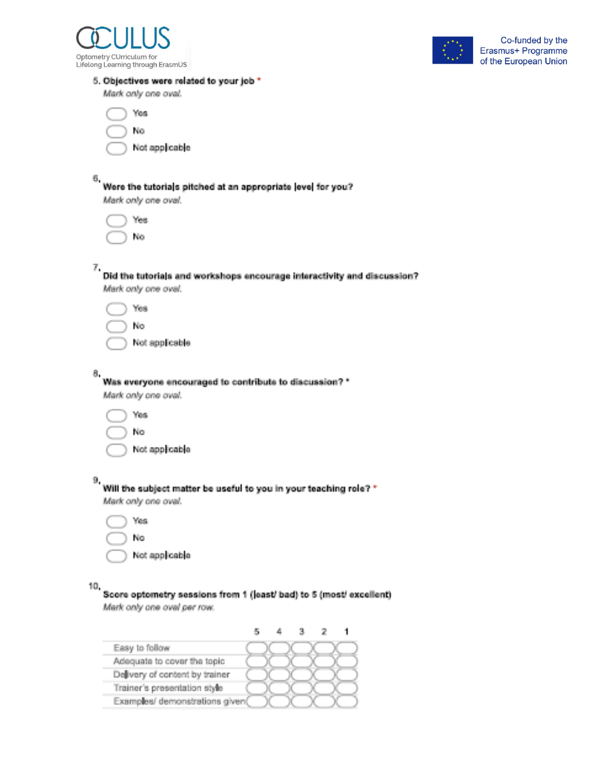



#### 5. Objectives were related to your job \*

Mark only one oval.

ť

Not applicable

6,

#### Were the tutorials pitched at an appropriate level for you?

Mark only one oval.

Yes No

Did the tutorials and workshops encourage interactivity and discussion? Mark only one oval.

No

Not applicable

# Was everyone encouraged to contribute to discussion? \*

Mark only one oval.

|  | . . |
|--|-----|
|  |     |

Not applicable

| ., |  |
|----|--|

#### Will the subject matter be useful to you in your teaching role? \* Mark only one oval.

| N<br>'n |
|---------|
|         |

Not applicable

10,

#### Score optometry sessions from 1 (least/ bad) to 5 (most/ excellent) Mark only one oval per row.

|                                 |  | з |  |
|---------------------------------|--|---|--|
| Easy to follow                  |  |   |  |
| Adequate to cover the topic     |  |   |  |
| Delivery of content by trainer  |  |   |  |
| Trainer's presentation style    |  |   |  |
| Examples/ demonstrations given( |  |   |  |